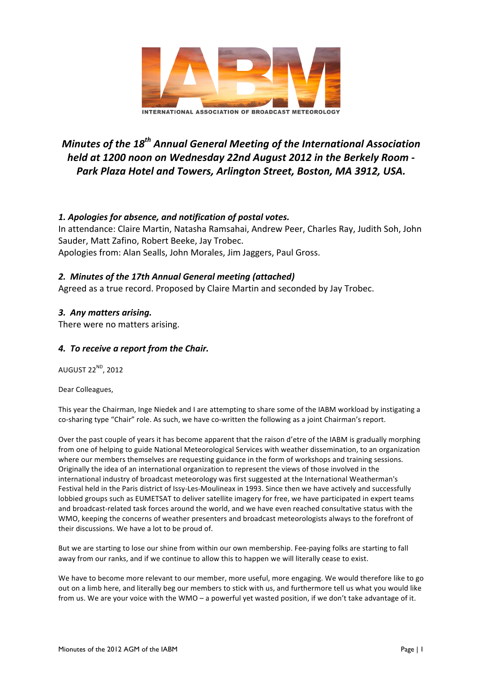

# *Minutes of the 18<sup>th</sup> Annual General Meeting of the International Association held at 1200 noon on Wednesday 22nd August 2012 in the Berkely Room -* Park Plaza Hotel and Towers, Arlington Street, Boston, MA 3912, USA.

# *1. Apologies for absence, and notification of postal votes.*

In attendance: Claire Martin, Natasha Ramsahai, Andrew Peer, Charles Ray, Judith Soh, John Sauder, Matt Zafino, Robert Beeke, Jay Trobec. Apologies from: Alan Sealls, John Morales, Jim Jaggers, Paul Gross.

#### *2. Minutes of the 17th Annual General meeting (attached)*

Agreed as a true record. Proposed by Claire Martin and seconded by Jay Trobec.

# *3. Any matters arising.*

There were no matters arising.

#### *4. To receive a report from the Chair.*

AUGUST  $22^{ND}$ , 2012

Dear Colleagues,

This year the Chairman, Inge Niedek and I are attempting to share some of the IABM workload by instigating a co-sharing type "Chair" role. As such, we have co-written the following as a joint Chairman's report.

Over the past couple of years it has become apparent that the raison d'etre of the IABM is gradually morphing from one of helping to guide National Meteorological Services with weather dissemination, to an organization where our members themselves are requesting guidance in the form of workshops and training sessions. Originally the idea of an international organization to represent the views of those involved in the international industry of broadcast meteorology was first suggested at the International Weatherman's Festival held in the Paris district of Issy-Les-Moulineax in 1993. Since then we have actively and successfully lobbied groups such as EUMETSAT to deliver satellite imagery for free, we have participated in expert teams and broadcast-related task forces around the world, and we have even reached consultative status with the WMO, keeping the concerns of weather presenters and broadcast meteorologists always to the forefront of their discussions. We have a lot to be proud of.

But we are starting to lose our shine from within our own membership. Fee-paying folks are starting to fall away from our ranks, and if we continue to allow this to happen we will literally cease to exist.

We have to become more relevant to our member, more useful, more engaging. We would therefore like to go out on a limb here, and literally beg our members to stick with us, and furthermore tell us what you would like from us. We are your voice with the WMO – a powerful yet wasted position, if we don't take advantage of it.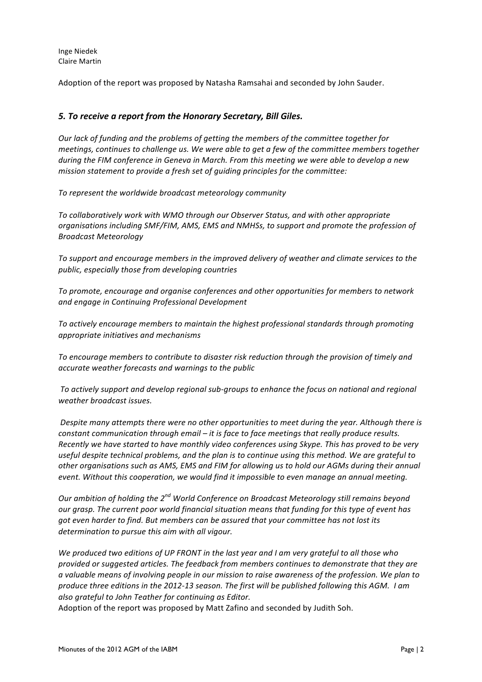Inge Niedek Claire Martin

Adoption of the report was proposed by Natasha Ramsahai and seconded by John Sauder.

#### *5. To receive a report from the Honorary Secretary, Bill Giles.*

*Our lack of funding and the problems of getting the members of the committee together for meetings, continues to challenge us. We were able to get a few of the committee members together* during the FIM conference in Geneva in March. From this meeting we were able to develop a new *mission statement to provide a fresh set of guiding principles for the committee:* 

To represent the worldwide broadcast meteorology community

To collaboratively work with WMO through our Observer Status, and with other appropriate organisations including SMF/FIM, AMS, EMS and NMHSs, to support and promote the profession of *Broadcast Meteorology*

To support and encourage members in the improved delivery of weather and climate services to the *public, especially those from developing countries*

To promote, encourage and organise conferences and other opportunities for members to network *and engage in Continuing Professional Development*

To actively encourage members to maintain the highest professional standards through promoting appropriate initiatives and mechanisms

To encourage members to contribute to disaster risk reduction through the provision of timely and *accurate weather forecasts and warnings to the public*

To actively support and develop regional sub-groups to enhance the focus on national and regional *weather broadcast issues.*

*Despite* many attempts there were no other opportunities to meet during the year. Although there is *constant communication through email – it is face to face meetings that really produce results. Recently* we have started to have monthly video conferences using Skype. This has proved to be very useful despite technical problems, and the plan is to continue using this method. We are grateful to other organisations such as AMS, EMS and FIM for allowing us to hold our AGMs during their annual *event.* Without this cooperation, we would find it impossible to even manage an annual meeting.

*Our* ambition of holding the 2<sup>nd</sup> World Conference on Broadcast Meteorology still remains beyond *our* grasp. The current poor world financial situation means that funding for this type of event has *got even harder to find. But members can be assured that your committee has not lost its determination to pursue this aim with all vigour.* 

We produced two editions of UP FRONT in the last year and I am very grateful to all those who *provided* or suggested articles. The feedback from members continues to demonstrate that they are *a* valuable means of involving people in our mission to raise awareness of the profession. We plan to produce three editions in the 2012-13 season. The first will be published following this AGM. I am also grateful to John Teather for continuing as Editor.

Adoption of the report was proposed by Matt Zafino and seconded by Judith Soh.